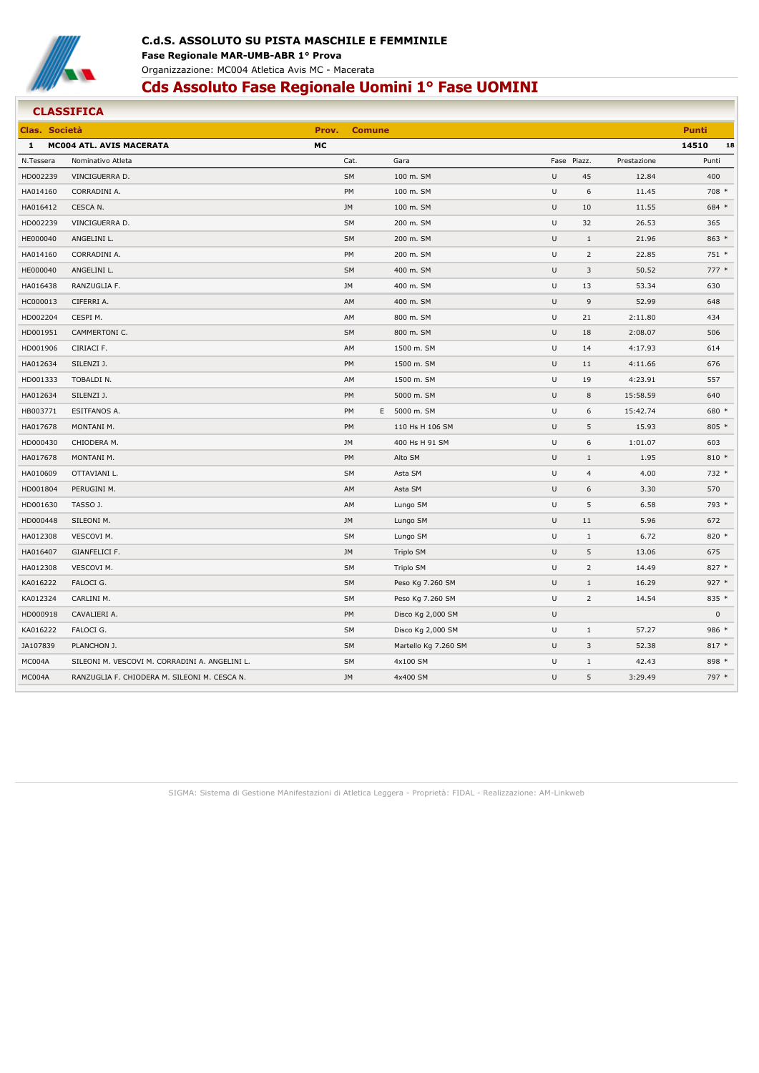

#### **CLASSIFICA Clas. Società Prov. Comune Punti 1 MC004 ATL. AVIS MACERATA MC 14510 18** N.Tessera Nominativo Atleta Cat. Gara Fase Piazz. Prestazione Punti HD002239 VINCIGUERRA D. SM 100 m. SM U 45 12.84 400 HA014160 CORRADINI A. PM 100 m. SM U 6 11.45 708 \* HA016412 CESCA N. JM 100 m. SM U 10 11.55 684 \* HD002239 VINCIGUERRA D. SM 200 m. SM U 32 26.53 365 HE000040 ANGELINI L. SM 200 m. SM U 1 21.96 863 \* HA014160 CORRADINI A. PM 200 m. SM U 2 22.85 751 \* HE000040 ANGELINI L. SM 400 m. SM U 3 50.52 777 \* HA016438 RANZUGLIA F. JM 400 m. SM U 13 53.34 630 HC000013 CIFERRI A. 400 m. SM U 9 52.99 648 HD002204 CESPI M. AM 800 m. SM U 21 2:11.80 434 HD001951 CAMMERTONI C. SM 800 m. SM U 18 2:08.07 506 HD001906 CIRIACI F. AM 1500 m. SM U 14 4:17.93 614 HA012634 SILENZI J. PM 1500 m. SM U 11 4:11.66 676 HD001333 TOBALDI N. AM 1500 m. SM U 19 4:23.91 557 HA012634 SILENZI J. PM 5000 m. SM U 8 15:58.59 640 HB003771 ESITFANOS A. PM E 5000 m. SM U 6 15:42.74 680 \* HA017678 MONTANI M. PM 110 Hs H 106 SM U 5 15.93 805 \* HD000430 CHIODERA M. JM 400 Hs H 91 SM U 6 1:01.07 603 HA017678 MONTANI M. PM Alto SM U 1 1.95 810 \* HA010609 OTTAVIANI L. SM Asta SM U 4 4.00 732 \* HD001804 PERUGINI M. AM Asta SM U 6 3.30 570 HD001630 TASSO J. AM Lungo SM U 5 6.58 793 \* HD000448 SILEONI M. JM Lungo SM U 11 5.96 672 HA012308 VESCOVI M. SM Lungo SM U 1 6.72 820 \* HA016407 GIANFELICI F. JM Triplo SM U 5 13.06 675 HA012308 VESCOVI M. SM Triplo SM U 2 14.49 827 \* KA016222 FALOCI G.  $\,$  5927  $^{\ast}$  927  $^{\ast}$  927  $^{\ast}$  500 SM Peso Kg 7.260 SM U 1  $\,$  16.29  $\,$  927  $^{\ast}$ KA012324 CARLINI M. SM Peso Kg 7.260 SM U 2 14.54 835 \* HD000918 CAVALIERI A. PM Disco Kg 2,000 SM U 0 KA016222 FALOCI G.  $\,$  57.27  $\,$  986  $^{\ast}$ JA107839 PLANCHON J. SM Martello Kg 7.260 SM U 3 52.38 817 \* MC004A SILEONI M. VESCOVI M. CORRADINI A. ANGELINI L. SM 4x100 SM 4x100 SM U 1 42.43 898 \* MC004A RANZUGLIA F. CHIODERA M. SILEONI M. CESCA N. JM 4x400 SM U 5 3:29.49 797 \*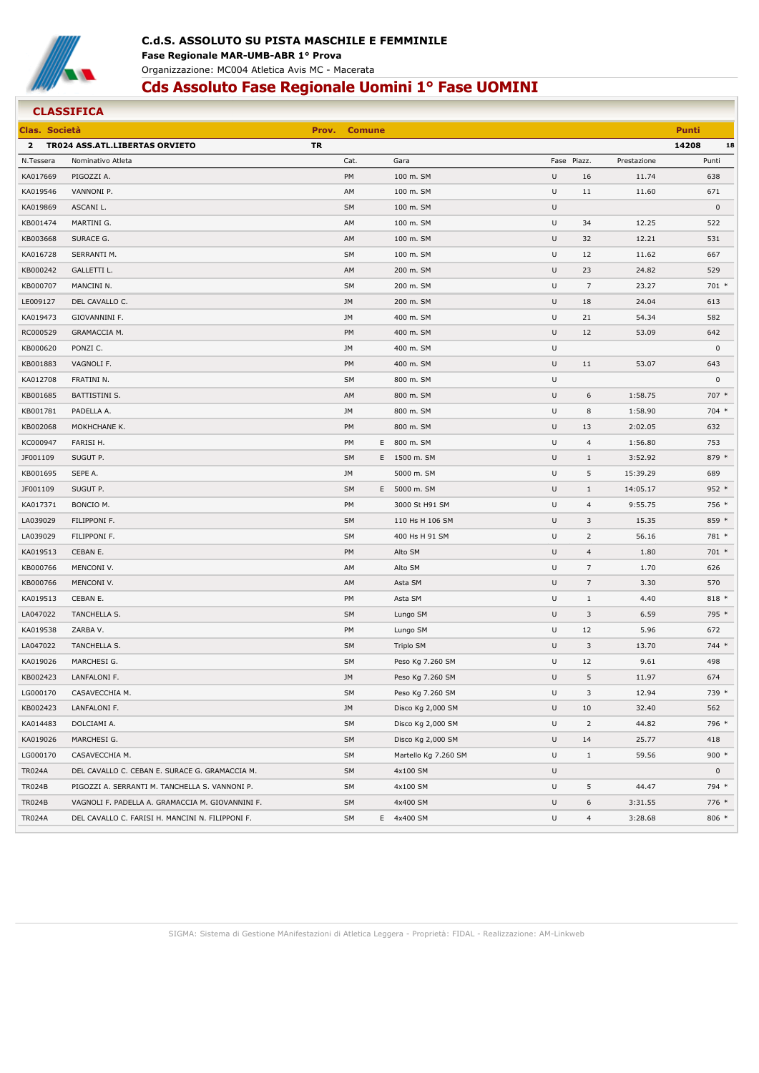

#### **CLASSIFICA Clas. Società Prov. Comune Punti 2 TR024 ASS.ATL.LIBERTAS ORVIETO TR 14208 18** N.Tessera Nominativo Atleta Cat. Gara Fase Piazz. Prestazione Punti KA017669 PIGOZZI A. 100 m. SM U 16 11.74 638 KA019546 VANNONI P. AM 100 m. SM U 11 11.60 671 KA019869 ASCANI L. SM 100 m. SM U 0 KB001474 MARTINI G. AM 100 m. SM U 34 12.25 522 KB003668 SURACE G. AM 100 m. SM U 32 12.21 531 KA016728 SERRANTI M. SM 100 m. SM U 12 11.62 667 KB000242 GALLETTI L. AM 200 m. SM U 23 24.82 529 KB000707 MANCINI N. SM 200 m. SM U 7 23.27 701 \* LE009127 DEL CAVALLO C. JM 200 m. SM U 18 24.04 613 KA019473 GIOVANNINI F. JM 400 m. SM U 21 54.34 582 RC000529 GRAMACCIA M. PM 400 m. SM U 12 53.09 642 KB000620 PONZI C. JM 400 m. SM U 0 KB001883 VAGNOLI F. PM 400 m. SM U 11 53.07 643 KA012708 FRATINI N. SM 800 m. SM U 0 KB001685 BATTISTINI S. AM 800 m. SM U 6 1:58.75 707 \* KB001781 PADELLA A. JM 800 m. SM U 8 1:58.90 704 \* KB002068 MOKHCHANE K. PM 800 m. SM U 13 2:02.05 632 KC000947 FARISI H. PM E 800 m. SM U 4 1:56.80 753 JF001109 SUGUT P. SM E 1500 m. SM U 1 3:52.92 879 \* KB001695 SEPE A. JM 5000 m. SM U 5 15:39.29 689 JF001109 SUGUT P. SM E 5000 m. SM U 1 14:05.17 952 \* KA017371 BONCIO M. PM 3000 St H91 SM U 4 9:55.75 756 \* LA039029 FILIPPONI F. SM 110 Hs H 106 SM U 3 15.35 859 \* LA039029 FILIPPONI F. SM 400 Hs H 91 SM U 2 56.16 781 \* KA019513 CEBAN E. PM Alto SM U 4 1.80 701 \* KB000766 MENCONI V. AM Alto SM U 7 1.70 626 KB000766 MENCONI V. AM Asta SM U 7 3.30 570 KA019513 CEBAN E. PM Asta SM U 1 4.40 818 \* LA047022 TANCHELLA S. SM Lungo SM U 3 6.59 795 \* KA019538 ZARBA V. PM Lungo SM U 12 5.96 672 LA047022 TANCHELLA S. SM Triplo SM U 3 13.70 744 \* KA019026 MARCHESI G. SM Peso Kg 7.260 SM U 12 9.61 498 KB002423 LANFALONI F. JM Peso Kg 7.260 SM U 5 11.97 674 LG000170 CASAVECCHIA M. SM Peso Kg 7.260 SM U 3 12.94 739 \* KB002423 LANFALONI F. JM Disco Kg 2,000 SM U 10 32.40 562 KA014483 DOLCIAMI A. SM Disco Kg 2,000 SM U 2 44.82 796 \* KA019026 MARCHESI G. SM Disco Kg 2,000 SM U 14 25.77 418 LG000170 CASAVECCHIA M. 2000 \* 2000 \* 2000 \* 2000 \* 2000 \* 2000 \* 2000 \* 2000 \* 3000 \* 300 \* 300 \* 300 \* 300 \* 300 \* 300 \* 300 \* 300 \* 300 \* 300 \* 300 \* 300 \* 300 \* 300 \* 300 \* 300 \* 300 \* 300 \* 300 \* 300 \* 300 \* 300 \* 300 TR024A DEL CAVALLO C. CEBAN E. SURACE G. GRAMACCIA M. SM 4x100 SM 4x100 SM 9 20 30 SM U 0 30 SM 9 20 4x100 SM U TR024B PIGOZZI A. SERRANTI M. TANCHELLA S. VANNONI P. SM 4x100 SM U 5 44.47 794 \* TR024B VAGNOLI F. PADELLA A. GRAMACCIA M. GIOVANNINI F. SM 4x400 SM 4x400 SM U 6 3:31.55 776 \* TR024A DEL CAVALLO C. FARISI H. MANCINI N. FILIPPONI F. SM E 4x400 SM U 4 3:28.68 806 \*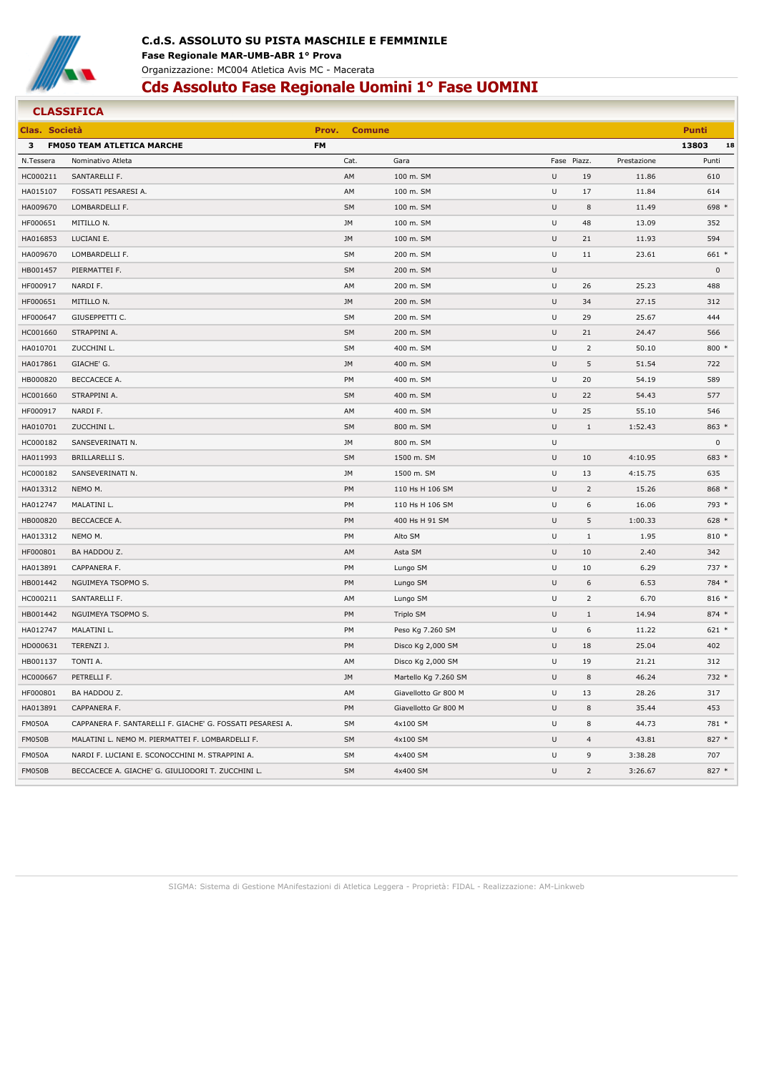

## **C.d.S. ASSOLUTO SU PISTA MASCHILE E FEMMINILE Fase Regionale MAR-UMB-ABR 1° Prova** Organizzazione: MC004 Atletica Avis MC - Macerata

# **Cds Assoluto Fase Regionale Uomini 1° Fase UOMINI**

| Clas. Società |                                                           | Prov.     | <b>Comune</b> |                      |   |                |             | <b>Punti</b>        |
|---------------|-----------------------------------------------------------|-----------|---------------|----------------------|---|----------------|-------------|---------------------|
| 3             | <b>FM050 TEAM ATLETICA MARCHE</b>                         | <b>FM</b> |               |                      |   |                |             | 13803<br>18         |
| N.Tessera     | Nominativo Atleta                                         |           | Cat.          | Gara                 |   | Fase Piazz.    | Prestazione | Punti               |
| HC000211      | SANTARELLI F.                                             |           | AM            | 100 m. SM            | U | 19             | 11.86       | 610                 |
| HA015107      | FOSSATI PESARESI A.                                       |           | AM            | 100 m. SM            | U | 17             | 11.84       | 614                 |
| HA009670      | LOMBARDELLI F.                                            |           | SM            | 100 m. SM            | U | 8              | 11.49       | 698 *               |
| HF000651      | MITILLO N.                                                |           | JM            | 100 m. SM            | U | 48             | 13.09       | 352                 |
| HA016853      | LUCIANI E.                                                |           | JM            | 100 m. SM            | U | 21             | 11.93       | 594                 |
| HA009670      | LOMBARDELLI F.                                            |           | SM            | 200 m. SM            | U | 11             | 23.61       | 661 *               |
| HB001457      | PIERMATTEI F.                                             |           | SM            | 200 m. SM            | U |                |             | $\mathsf{O}\xspace$ |
| HF000917      | NARDI F.                                                  |           | AM            | 200 m. SM            | U | 26             | 25.23       | 488                 |
| HF000651      | MITILLO N.                                                |           | JM            | 200 m. SM            | U | 34             | 27.15       | 312                 |
| HF000647      | GIUSEPPETTI C.                                            |           | SM            | 200 m. SM            | U | 29             | 25.67       | 444                 |
| HC001660      | STRAPPINI A.                                              |           | SM            | 200 m. SM            | U | 21             | 24.47       | 566                 |
| HA010701      | ZUCCHINI L.                                               |           | SM            | 400 m. SM            | U | $\overline{2}$ | 50.10       | $800*$              |
| HA017861      | GIACHE' G.                                                |           | JM            | 400 m. SM            | U | 5              | 51.54       | 722                 |
| HB000820      | BECCACECE A.                                              |           | PM            | 400 m. SM            | U | 20             | 54.19       | 589                 |
| HC001660      | STRAPPINI A.                                              |           | <b>SM</b>     | 400 m. SM            | U | 22             | 54.43       | 577                 |
| HF000917      | NARDI F.                                                  |           | AM            | 400 m. SM            | U | 25             | 55.10       | 546                 |
| HA010701      | ZUCCHINI L.                                               |           | SM            | 800 m. SM            | U | $\mathbf{1}$   | 1:52.43     | 863 *               |
| HC000182      | SANSEVERINATI N.                                          |           | JM            | 800 m. SM            | U |                |             | $\mathsf 0$         |
| HA011993      | BRILLARELLI S.                                            |           | SM            | 1500 m. SM           | U | 10             | 4:10.95     | 683 *               |
| HC000182      | SANSEVERINATI N.                                          |           | JM            | 1500 m. SM           | U | 13             | 4:15.75     | 635                 |
| HA013312      | NEMO M.                                                   |           | PM            | 110 Hs H 106 SM      | U | $\overline{2}$ | 15.26       | 868 *               |
| HA012747      | MALATINI L.                                               |           | PM            | 110 Hs H 106 SM      | U | 6              | 16.06       | 793 *               |
| HB000820      | BECCACECE A.                                              |           | PM            | 400 Hs H 91 SM       | U | 5              | 1:00.33     | $628 *$             |
| HA013312      | NEMO M.                                                   |           | PM            | Alto SM              | U | $1\,$          | 1.95        | $810 *$             |
| HF000801      | BA HADDOU Z.                                              |           | AM            | Asta SM              | U | 10             | 2.40        | 342                 |
| HA013891      | CAPPANERA F.                                              |           | PM            | Lungo SM             | U | 10             | 6.29        | 737 *               |
| HB001442      | NGUIMEYA TSOPMO S.                                        |           | PM            | Lungo SM             | U | 6              | 6.53        | 784 *               |
| HC000211      | SANTARELLI F.                                             |           | AM            | Lungo SM             | U | $\overline{2}$ | 6.70        | $816 *$             |
| HB001442      | NGUIMEYA TSOPMO S.                                        |           | PM            | Triplo SM            | U | $1\,$          | 14.94       | $874*$              |
| HA012747      | MALATINI L.                                               |           | PM            | Peso Kg 7.260 SM     | U | 6              | 11.22       | $621 *$             |
| HD000631      | TERENZI J.                                                |           | PM            | Disco Kg 2,000 SM    | U | 18             | 25.04       | 402                 |
| HB001137      | TONTI A.                                                  |           | AM            | Disco Kg 2,000 SM    | U | 19             | 21.21       | 312                 |
| HC000667      | PETRELLI F.                                               |           | JM            | Martello Kg 7.260 SM | U | 8              | 46.24       | 732 *               |
| HF000801      | BA HADDOU Z.                                              |           | AM            | Giavellotto Gr 800 M | U | 13             | 28.26       | 317                 |
| HA013891      | CAPPANERA F.                                              |           | PM            | Giavellotto Gr 800 M | U | 8              | 35.44       | 453                 |
| <b>FM050A</b> | CAPPANERA F. SANTARELLI F. GIACHE' G. FOSSATI PESARESI A. |           | SM            | 4x100 SM             | U | 8              | 44.73       | 781 *               |
| FM050B        | MALATINI L. NEMO M. PIERMATTEI F. LOMBARDELLI F.          |           | SM            | 4x100 SM             | U | $\overline{4}$ | 43.81       | 827 *               |
| <b>FM050A</b> | NARDI F. LUCIANI E. SCONOCCHINI M. STRAPPINI A.           |           | SM            | 4x400 SM             | U | 9              | 3:38.28     | 707                 |
| FM050B        | BECCACECE A. GIACHE' G. GIULIODORI T. ZUCCHINI L.         |           | SM            | 4x400 SM             | U | $\overline{2}$ | 3:26.67     | 827 *               |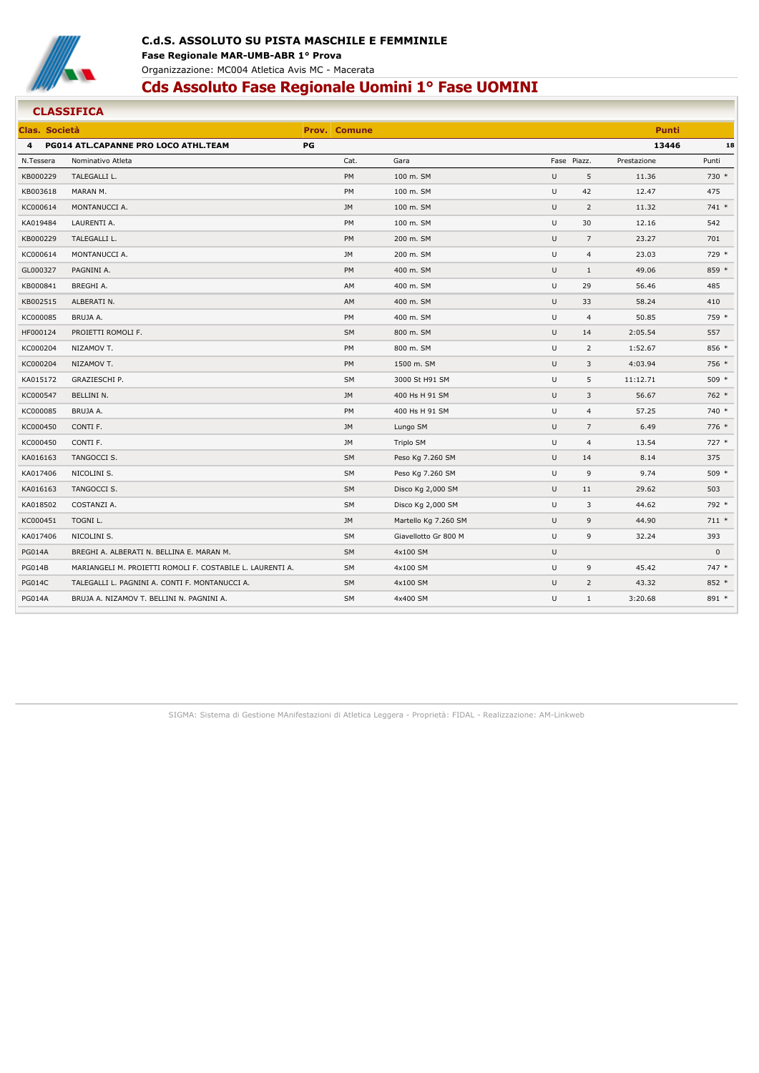

| <b>CLASSIFICA</b> |                                                           |    |                     |                      |   |             |                           |               |
|-------------------|-----------------------------------------------------------|----|---------------------|----------------------|---|-------------|---------------------------|---------------|
| Clas, Società     |                                                           |    | <b>Prov. Comune</b> |                      |   |             |                           | <b>Punti</b>  |
| $\overline{4}$    | PG014 ATL.CAPANNE PRO LOCO ATHL.TEAM                      | PG |                     |                      |   |             |                           | 13446<br>18   |
| N.Tessera         | Nominativo Atleta                                         |    | Cat.                | Gara                 |   | Fase Piazz. | Prestazione               | Punti         |
| KB000229          | TALEGALLI L.                                              |    | PM                  | 100 m. SM            | U |             | 5<br>11.36                | 730 *         |
| KB003618          | MARAN M.                                                  |    | PM                  | 100 m. SM            | U |             | 42<br>12.47               | 475           |
| KC000614          | MONTANUCCI A.                                             |    | <b>JM</b>           | 100 m. SM            | U |             | $\overline{2}$<br>11.32   | $741*$        |
| KA019484          | LAURENTI A.                                               |    | PM                  | 100 m. SM            | U |             | 30<br>12.16               | 542           |
| KB000229          | TALEGALLI L.                                              |    | PM                  | 200 m. SM            | U |             | 23.27<br>$\overline{7}$   | 701           |
| KC000614          | MONTANUCCI A.                                             |    | JM                  | 200 m. SM            | U |             | $\overline{4}$<br>23.03   | 729 *         |
| GL000327          | PAGNINI A.                                                |    | PM                  | 400 m. SM            | U |             | $1\,$<br>49.06            | 859 *         |
| KB000841          | BREGHI A.                                                 |    | AM                  | 400 m. SM            | U |             | 29<br>56.46               | 485           |
| KB002515          | ALBERATI N.                                               |    | AM                  | 400 m. SM            | U |             | 33<br>58.24               | 410           |
| KC000085          | BRUJA A.                                                  |    | PM                  | 400 m. SM            | U |             | $\overline{4}$<br>50.85   | 759 *         |
| HF000124          | PROIETTI ROMOLI F.                                        |    | SM                  | 800 m. SM            | U |             | 14<br>2:05.54             | 557           |
| KC000204          | NIZAMOV T.                                                |    | PM                  | 800 m. SM            | U |             | $\overline{2}$<br>1:52.67 | 856 *         |
| KC000204          | NIZAMOV T.                                                |    | PM                  | 1500 m. SM           | U |             | 3<br>4:03.94              | 756 *         |
| KA015172          | GRAZIESCHI P.                                             |    | <b>SM</b>           | 3000 St H91 SM       | U |             | 5<br>11:12.71             | 509 *         |
| KC000547          | BELLINI N.                                                |    | <b>JM</b>           | 400 Hs H 91 SM       | U |             | 56.67<br>3                | 762 *         |
| KC000085          | BRUJA A.                                                  |    | PM                  | 400 Hs H 91 SM       | U |             | $\overline{4}$<br>57.25   | 740 *         |
| KC000450          | CONTI F.                                                  |    | <b>JM</b>           | Lungo SM             | U |             | $\overline{7}$            | 6.49<br>776 * |
| KC000450          | CONTI F.                                                  |    | <b>JM</b>           | Triplo SM            | U |             | 4<br>13.54                | $727 *$       |
| KA016163          | TANGOCCI S.                                               |    | <b>SM</b>           | Peso Kg 7.260 SM     | U |             | 14                        | 8.14<br>375   |
| KA017406          | NICOLINI S.                                               |    | <b>SM</b>           | Peso Kg 7.260 SM     | U |             | $\overline{9}$            | 9.74<br>509 * |
| KA016163          | TANGOCCI S.                                               |    | SM                  | Disco Kg 2,000 SM    | U |             | 11<br>29.62               | 503           |
| KA018502          | COSTANZI A.                                               |    | <b>SM</b>           | Disco Kg 2,000 SM    | U |             | 3<br>44.62                | 792 *         |
| KC000451          | TOGNI L.                                                  |    | <b>JM</b>           | Martello Kg 7.260 SM | U |             | 9<br>44.90                | $711 *$       |
| KA017406          | NICOLINI S.                                               |    | SM                  | Giavellotto Gr 800 M | U |             | 9<br>32.24                | 393           |
| <b>PG014A</b>     | BREGHI A. ALBERATI N. BELLINA E. MARAN M.                 |    | SM                  | 4x100 SM             | U |             |                           | $\mathsf 0$   |
| <b>PG014B</b>     | MARIANGELI M. PROIETTI ROMOLI F. COSTABILE L. LAURENTI A. |    | <b>SM</b>           | 4x100 SM             | U |             | 9<br>45.42                | 747 *         |
| <b>PG014C</b>     | TALEGALLI L. PAGNINI A. CONTI F. MONTANUCCI A.            |    | <b>SM</b>           | 4x100 SM             | U |             | $\overline{2}$<br>43.32   | $852*$        |
| <b>PG014A</b>     | BRUJA A. NIZAMOV T. BELLINI N. PAGNINI A.                 |    | <b>SM</b>           | 4x400 SM             | U |             | $\mathbf{1}$<br>3:20.68   | 891 *         |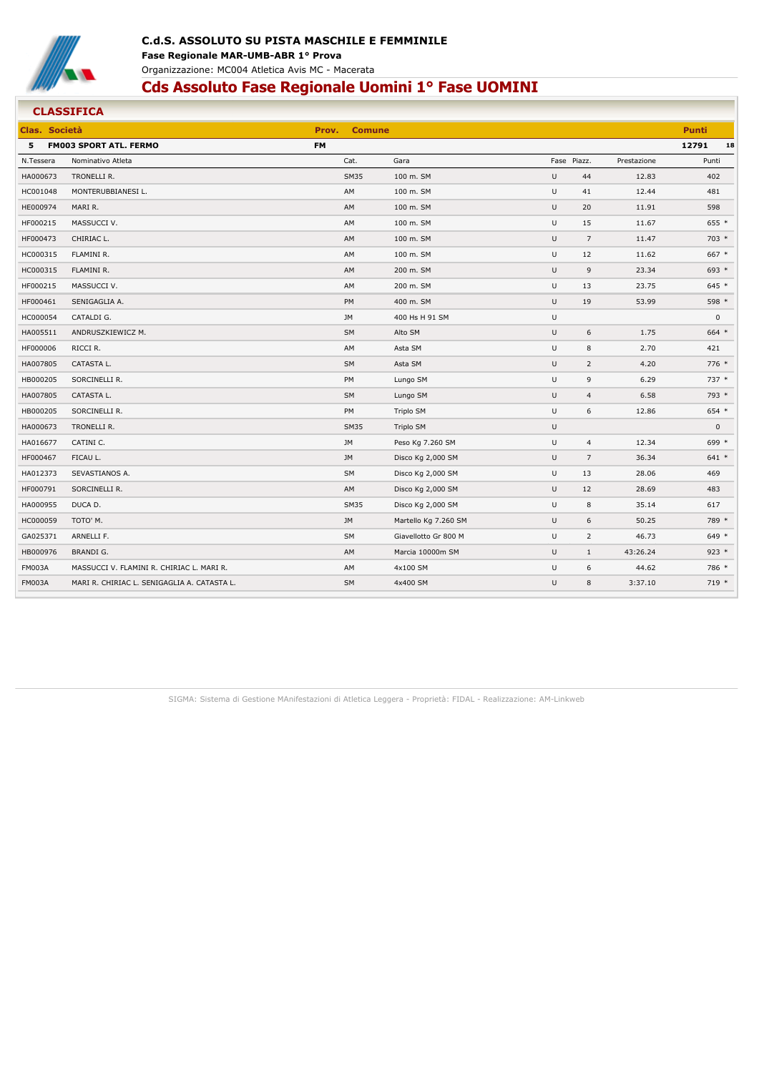

#### **CLASSIFICA Clas. Società Prov. Comune Punti 5 FM003 SPORT ATL. FERMO FM 12791 18** N.Tessera Nominativo Atleta Cat. Gara Fase Piazz. Prestazione Punti HA000673 TRONELLI R. SM35 100 m. SM U 44 12.83 402 HC001048 MONTERUBBIANESI L. AM 100 m. SM U 41 12.44 481 HE000974 MARI R. AM 100 m. SM U 20 11.91 598 HF000215 MASSUCCI V. AM 100 m. SM U 15 11.67 655 \* HF000473 CHIRIAC L. AM 100 m. SM U 7 11.47 703 \* HC000315 FLAMINI R. AM 100 m. SM U 12 11.62 667 \* HC000315 FLAMINI R. AM 200 m. SM U 9 23.34 693 \* HF000215 MASSUCCI V. AM 200 m. SM U 13 23.75 645 \* HF000461 SENIGAGLIA A. PM 400 m. SM U 19 53.99 598 \* HC000054 CATALDI G. JM 400 Hs H 91 SM U 0 HA005511 ANDRUSZKIEWICZ M. SM Alto SM U 6 1.75 664 \* HF000006 RICCI R. AM Asta SM U 8 2.70 421 HA007805 CATASTA L. SM Asta SM U 2 4.20 776 \* HB000205 SORCINELLI R. PM Lungo SM U 9 6.29 737 \* HA007805 CATASTA L. SM Lungo SM U 4 6.58 793 \* HB000205 SORCINELLI R. PM Triplo SM U 6 12.86 654 \* HA000673 TRONELLI R. SM35 Triplo SM U 0 HA016677 CATINI C. JM Peso Kg 7.260 SM U 4 12.34 699 \* HF000467 FICAU L. JM Disco Kg 2,000 SM U 7 36.34 641 \* HA012373 SEVASTIANOS A. SM Disco Kg 2,000 SM U 13 28.06 469 HF000791 SORCINELLI R. AM Disco Kg 2,000 SM U 12 28.69 483 HA000955 DUCA D. SM35 Disco Kg 2,000 SM U 8 35.14 617 HC000059 TOTO' M. JM Martello Kg 7.260 SM U 6 50.25 789 \* GA025371 ARNELLI F. SM Giavellotto Gr 800 M U 2 46.73 649 \* HB000976 BRANDI G. AM Marcia 10000m SM U 1 43:26.24 923 \* FM003A MASSUCCI V. FLAMINI R. CHIRIAC L. MARI R. AM 4x100 SM 4x100 SM U 6 44.62 786 \* FM003A MARI R. CHIRIAC L. SENIGAGLIA A. CATASTA L. SM 4x400 SM U 8 3:37.10 719 \*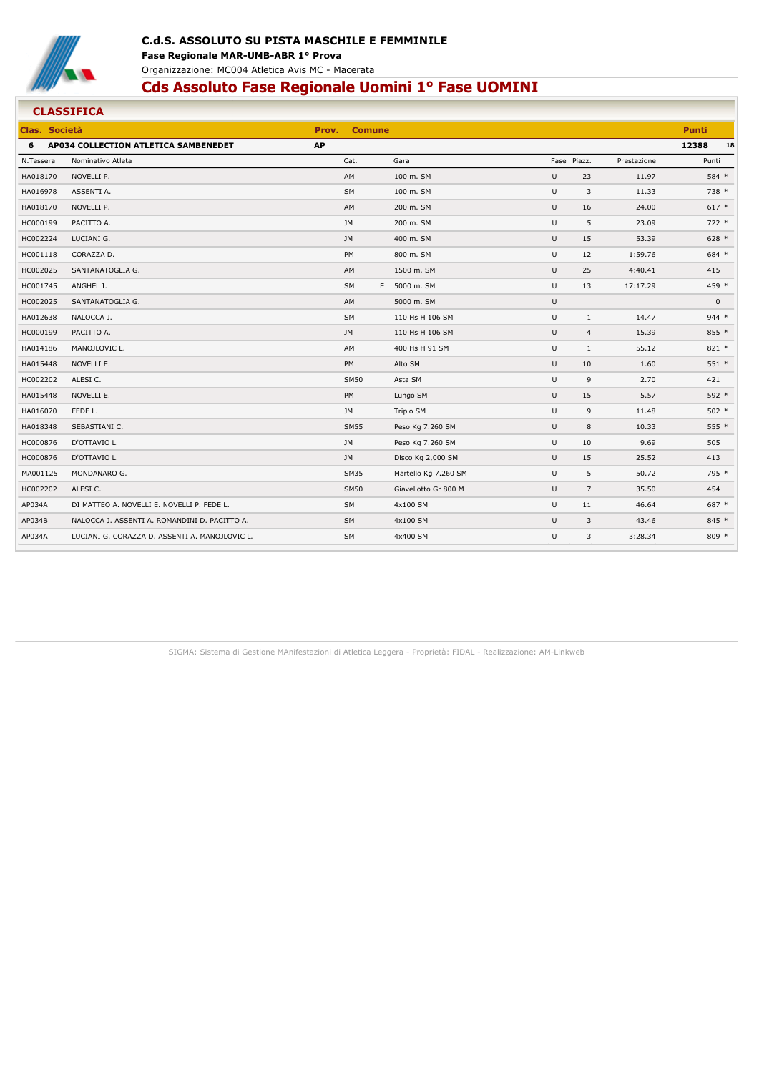

#### **CLASSIFICA Clas. Società Prov. Comune Punti 6 AP034 COLLECTION ATLETICA SAMBENEDET AP 12388 18** N.Tessera Nominativo Atleta Cat. Gara Fase Piazz. Prestazione Punti HA018170 NOVELLI P. AM 100 m. SM U 23 11.97 584 \* HA016978 ASSENTI A. SM 100 m. SM U 3 11.33 738 \* HA018170 NOVELLI P. AM 200 m. SM U 16 24.00 617 \* HC000199 PACITTO A. JM 200 m. SM U 5 23.09 722 \* HC002224 LUCIANI G. JM 400 m. SM U 15 53.39 628 \* HC001118 CORAZZA D. PM 800 m. SM U 12 1:59.76 684 \* HC002025 SANTANATOGLIA G. AM 1500 m. SM U 25 4:40.41 415 HC001745 ANGHEL I. SM E 5000 m. SM U 13 17:17.29 459 \* HC002025 SANTANATOGLIA G. AM 5000 m. SM U 0 HA012638 NALOCCA J. SM 110 Hs H 106 SM U 1 14.47 944 \* HC000199 PACITTO A. JM 110 Hs H 106 SM U 4 15.39 855 \* HA014186 MANOJLOVIC L. AM 400 Hs H 91 SM U 1 55.12 821 \* HA015448 NOVELLI E. PM Alto SM U 10 1.60 551 \* HC002202 ALESI C. SM50 Asta SM U 9 2.70 421 HA015448 NOVELLI E. PM Lungo SM U 15 5.57 592 \* HA016070 FEDE L. JM Triplo SM U 9 11.48 502 \* HA018348 SEBASTIANI C. SM55 Peso Kg 7.260 SM U 8 10.33 555 \* HC000876 D'OTTAVIO L. JM Peso Kg 7.260 SM U 10 9.69 505 HC000876 D'OTTAVIO L. JM Disco Kg 2,000 SM U 15 25.52 413 MA001125 MONDANARO G. SM35 Martello Kg 7.260 SM U 5 50.72 795 \* HC002202 ALESI C. SM50 Giavellotto Gr 800 M U 7 35.50 454 AP034A DI MATTEO A. NOVELLI E. NOVELLI P. FEDE L. SM 4x100 SM 4x100 SM 4x100 SM U 11 46.64 687 \* AP034B NALOCCA J. ASSENTI A. ROMANDINI D. PACITTO A. SM 4x100 SM 4x100 SM 4x100 SM U 3 43.46 845 \* AP034A LUCIANI G. CORAZZA D. ASSENTI A. MANOJLOVIC L. SM 4x400 SM 4x400 SM U 3 3:28.34 809 \*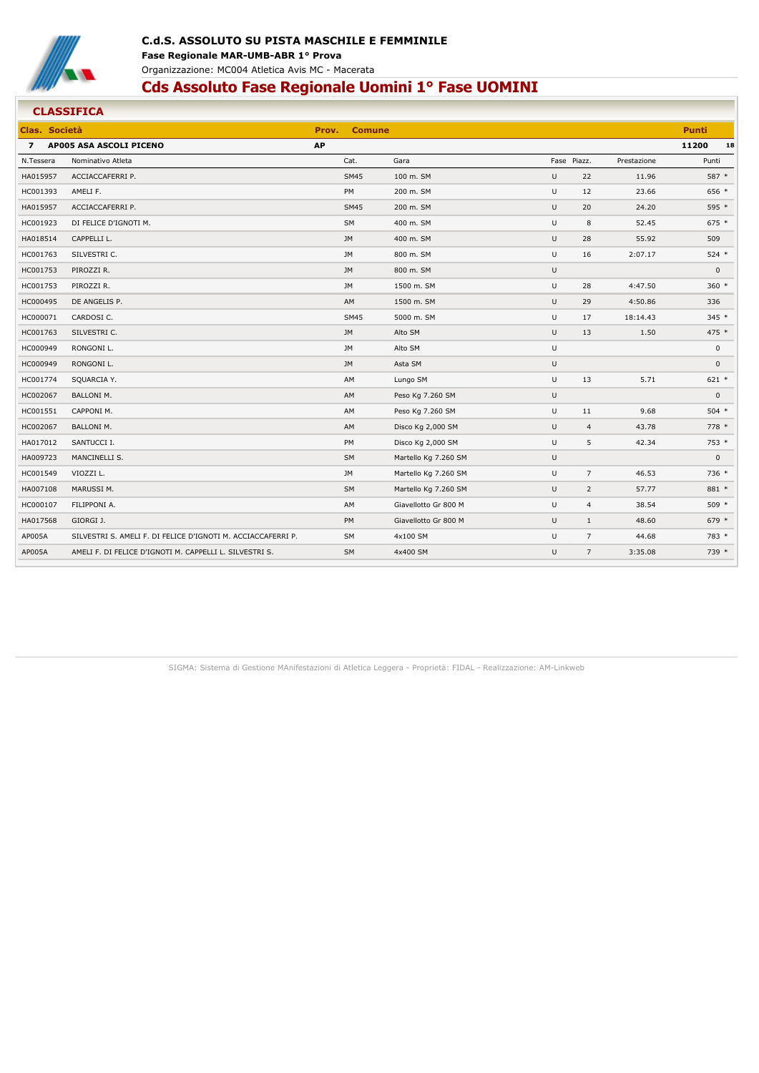

## **C.d.S. ASSOLUTO SU PISTA MASCHILE E FEMMINILE Fase Regionale MAR-UMB-ABR 1° Prova** Organizzazione: MC004 Atletica Avis MC - Macerata

# **Cds Assoluto Fase Regionale Uomini 1° Fase UOMINI**

|                | <b>CLASSIFICA</b>                                            |           |               |                      |             |                |             |              |    |
|----------------|--------------------------------------------------------------|-----------|---------------|----------------------|-------------|----------------|-------------|--------------|----|
| Clas. Società  |                                                              | Prov.     | <b>Comune</b> |                      |             |                |             | <b>Punti</b> |    |
| $\overline{z}$ | AP005 ASA ASCOLI PICENO                                      | <b>AP</b> |               |                      |             |                |             | 11200        | 18 |
| N.Tessera      | Nominativo Atleta                                            |           | Cat.          | Gara                 | Fase Piazz. |                | Prestazione | Punti        |    |
| HA015957       | ACCIACCAFERRI P.                                             |           | <b>SM45</b>   | 100 m. SM            | U           | 22             | 11.96       | 587 *        |    |
| HC001393       | AMELI F.                                                     |           | PM            | 200 m. SM            | U           | 12             | 23.66       | 656 *        |    |
| HA015957       | ACCIACCAFERRI P.                                             |           | <b>SM45</b>   | 200 m. SM            | U           | 20             | 24.20       | 595 *        |    |
| HC001923       | DI FELICE D'IGNOTI M.                                        |           | SM            | 400 m. SM            | U           | 8              | 52.45       | $675 *$      |    |
| HA018514       | CAPPELLI L.                                                  |           | <b>JM</b>     | 400 m. SM            | U           | 28             | 55.92       | 509          |    |
| HC001763       | SILVESTRI C.                                                 |           | <b>JM</b>     | 800 m. SM            | U           | 16             | 2:07.17     | $524$ *      |    |
| HC001753       | PIROZZI R.                                                   |           | <b>JM</b>     | 800 m. SM            | U           |                |             | $\mathbf{0}$ |    |
| HC001753       | PIROZZI R.                                                   |           | <b>JM</b>     | 1500 m. SM           | U           | 28             | 4:47.50     | $360 *$      |    |
| HC000495       | DE ANGELIS P.                                                |           | AM            | 1500 m. SM           | U           | 29             | 4:50.86     | 336          |    |
| HC000071       | CARDOSI C.                                                   |           | <b>SM45</b>   | 5000 m. SM           | U           | 17             | 18:14.43    | 345 *        |    |
| HC001763       | SILVESTRI C.                                                 |           | <b>JM</b>     | Alto SM              | U           | 13             | 1.50        | 475 *        |    |
| HC000949       | RONGONI L.                                                   |           | <b>JM</b>     | Alto SM              | U           |                |             | $\mathbf 0$  |    |
| HC000949       | RONGONI L.                                                   |           | <b>JM</b>     | Asta SM              | U           |                |             | $\mathbf 0$  |    |
| HC001774       | SQUARCIA Y.                                                  |           | AM            | Lungo SM             | U           | 13             | 5.71        | $621 *$      |    |
| HC002067       | <b>BALLONI M.</b>                                            |           | AM            | Peso Kg 7.260 SM     | U           |                |             | $\mathsf 0$  |    |
| HC001551       | CAPPONI M.                                                   |           | AM            | Peso Kg 7.260 SM     | U           | 11             | 9.68        | $504$ *      |    |
| HC002067       | <b>BALLONI M.</b>                                            |           | AM            | Disco Kg 2,000 SM    | U           | $\overline{4}$ | 43.78       | $778*$       |    |
| HA017012       | SANTUCCI I.                                                  |           | PM            | Disco Kg 2,000 SM    | U           | 5              | 42.34       | 753 *        |    |
| HA009723       | MANCINELLI S.                                                |           | <b>SM</b>     | Martello Kg 7.260 SM | U           |                |             | $\mathsf 0$  |    |
| HC001549       | VIOZZI L.                                                    |           | JM            | Martello Kg 7.260 SM | U           | $\overline{7}$ | 46.53       | 736 *        |    |
| HA007108       | MARUSSI M.                                                   |           | SM            | Martello Kg 7.260 SM | U           | $\overline{2}$ | 57.77       | 881 *        |    |
| HC000107       | FILIPPONI A.                                                 |           | AM            | Giavellotto Gr 800 M | U           | $\overline{4}$ | 38.54       | $509$ *      |    |
| HA017568       | GIORGI J.                                                    |           | PM            | Giavellotto Gr 800 M | U           | $1\,$          | 48.60       | 679 *        |    |
| AP005A         | SILVESTRI S. AMELI F. DI FELICE D'IGNOTI M. ACCIACCAFERRI P. |           | <b>SM</b>     | 4x100 SM             | U           | $\overline{7}$ | 44.68       | 783 *        |    |
| AP005A         | AMELI F. DI FELICE D'IGNOTI M. CAPPELLI L. SILVESTRI S.      |           | SM            | 4x400 SM             | U           | $\overline{7}$ | 3:35.08     | 739 *        |    |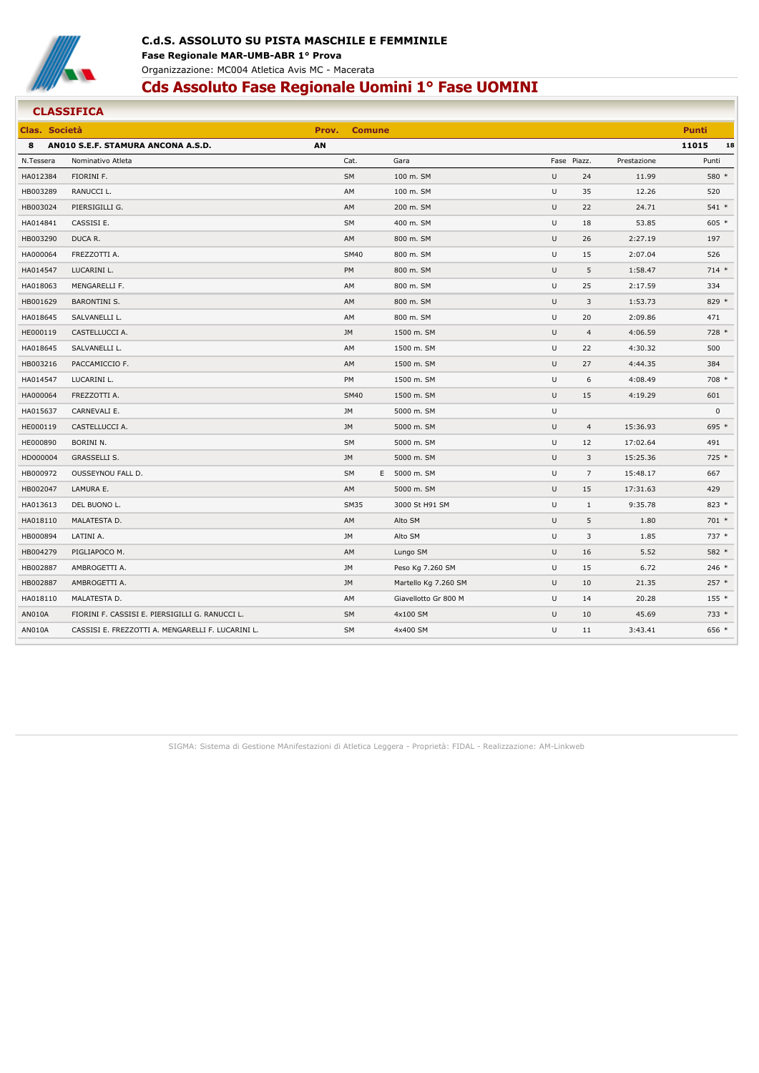

|               | <b>CLASSIFICA</b>                                 |       |               |                      |   |                |             |              |    |
|---------------|---------------------------------------------------|-------|---------------|----------------------|---|----------------|-------------|--------------|----|
| Clas. Società |                                                   | Prov. | <b>Comune</b> |                      |   |                |             | <b>Punti</b> |    |
| 8             | ANO10 S.E.F. STAMURA ANCONA A.S.D.                | AN    |               |                      |   |                |             | 11015        | 18 |
| N.Tessera     | Nominativo Atleta                                 |       | Cat.          | Gara                 |   | Fase Piazz.    | Prestazione | Punti        |    |
| HA012384      | FIORINI F.                                        |       | SM            | 100 m. SM            | U | 24             | 11.99       | 580 *        |    |
| HB003289      | RANUCCI L.                                        |       | AM            | 100 m. SM            | U | 35             | 12.26       | 520          |    |
| HB003024      | PIERSIGILLI G.                                    |       | AM            | 200 m. SM            | U | 22             | 24.71       | 541 *        |    |
| HA014841      | CASSISI E.                                        |       | SM            | 400 m. SM            | U | 18             | 53.85       | $605 *$      |    |
| HB003290      | DUCA R.                                           |       | AM            | 800 m. SM            | U | 26             | 2:27.19     | 197          |    |
| HA000064      | FREZZOTTI A.                                      |       | <b>SM40</b>   | 800 m. SM            | U | 15             | 2:07.04     | 526          |    |
| HA014547      | LUCARINI L.                                       |       | PM            | 800 m. SM            | U | 5              | 1:58.47     | $714*$       |    |
| HA018063      | MENGARELLI F.                                     |       | AM            | 800 m. SM            | U | 25             | 2:17.59     | 334          |    |
| HB001629      | <b>BARONTINI S.</b>                               |       | AM            | 800 m. SM            | U | 3              | 1:53.73     | 829 *        |    |
| HA018645      | SALVANELLI L.                                     |       | AM            | 800 m. SM            | U | 20             | 2:09.86     | 471          |    |
| HE000119      | CASTELLUCCI A.                                    |       | JM            | 1500 m. SM           | U | $\overline{a}$ | 4:06.59     | 728 *        |    |
| HA018645      | SALVANELLI L.                                     |       | AM            | 1500 m. SM           | U | 22             | 4:30.32     | 500          |    |
| HB003216      | PACCAMICCIO F.                                    |       | AM            | 1500 m. SM           | U | 27             | 4:44.35     | 384          |    |
| HA014547      | LUCARINI L.                                       |       | PM            | 1500 m. SM           | U | 6              | 4:08.49     | 708 *        |    |
| HA000064      | FREZZOTTI A.                                      |       | <b>SM40</b>   | 1500 m. SM           | U | 15             | 4:19.29     | 601          |    |
| HA015637      | CARNEVALI E.                                      |       | JM            | 5000 m. SM           | U |                |             | $\pmb{0}$    |    |
| HE000119      | CASTELLUCCI A.                                    |       | JM            | 5000 m. SM           | U | $\overline{a}$ | 15:36.93    | 695 *        |    |
| HE000890      | BORINI N.                                         |       | <b>SM</b>     | 5000 m. SM           | U | 12             | 17:02.64    | 491          |    |
| HD000004      | <b>GRASSELLI S.</b>                               |       | JM            | 5000 m. SM           | U | 3              | 15:25.36    | 725 *        |    |
| HB000972      | OUSSEYNOU FALL D.                                 |       | <b>SM</b>     | E 5000 m. SM         | U | $\overline{7}$ | 15:48.17    | 667          |    |
| HB002047      | LAMURA E.                                         |       | AM            | 5000 m. SM           | U | 15             | 17:31.63    | 429          |    |
| HA013613      | DEL BUONO L.                                      |       | <b>SM35</b>   | 3000 St H91 SM       | U | $1\,$          | 9:35.78     | $823*$       |    |
| HA018110      | MALATESTA D.                                      |       | AM            | Alto SM              | U | 5              | 1.80        | $701 *$      |    |
| HB000894      | LATINI A.                                         |       | <b>JM</b>     | Alto SM              | U | 3              | 1.85        | 737 *        |    |
| HB004279      | PIGLIAPOCO M.                                     |       | AM            | Lungo SM             | U | 16             | 5.52        | 582 *        |    |
| HB002887      | AMBROGETTI A.                                     |       | JM            | Peso Kg 7.260 SM     | U | 15             | 6.72        | $246 *$      |    |
| HB002887      | AMBROGETTI A.                                     |       | <b>JM</b>     | Martello Kg 7.260 SM | U | 10             | 21.35       | $257*$       |    |
| HA018110      | MALATESTA D.                                      |       | AM            | Giavellotto Gr 800 M | U | 14             | 20.28       | $155*$       |    |
| AN010A        | FIORINI F. CASSISI E. PIERSIGILLI G. RANUCCI L.   |       | SM            | 4x100 SM             | U | 10             | 45.69       | 733 *        |    |
| AN010A        | CASSISI E. FREZZOTTI A. MENGARELLI F. LUCARINI L. |       | <b>SM</b>     | 4x400 SM             | U | 11             | 3:43.41     | 656 *        |    |
|               |                                                   |       |               |                      |   |                |             |              |    |